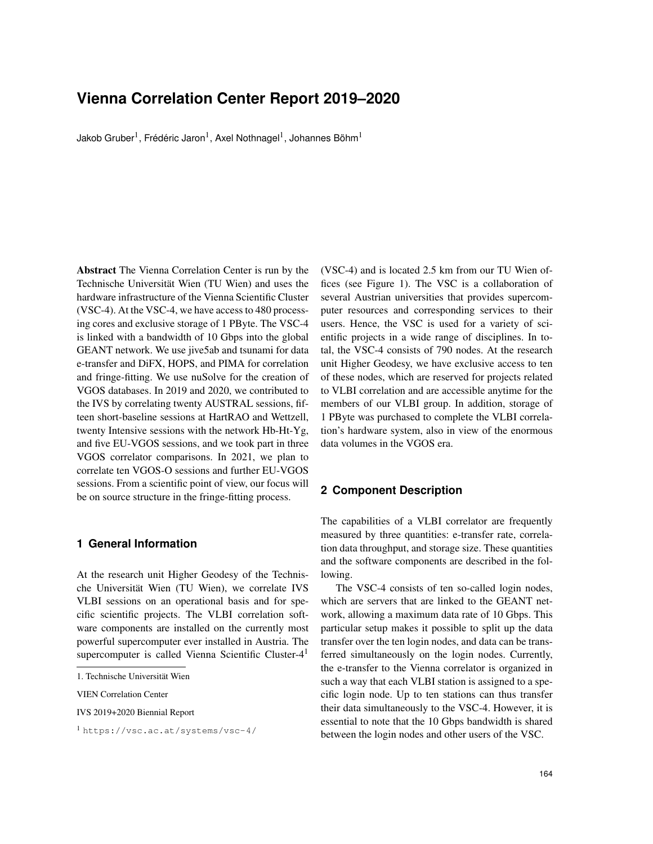# **Vienna Correlation Center Report 2019–2020**

Jakob Gruber $^1$ , Frédéric Jaron $^1$ , Axel Nothnagel $^1$ , Johannes Böhm $^1$ 

Abstract The Vienna Correlation Center is run by the Technische Universität Wien (TU Wien) and uses the hardware infrastructure of the Vienna Scientific Cluster (VSC-4). At the VSC-4, we have access to 480 processing cores and exclusive storage of 1 PByte. The VSC-4 is linked with a bandwidth of 10 Gbps into the global GEANT network. We use jive5ab and tsunami for data e-transfer and DiFX, HOPS, and PIMA for correlation and fringe-fitting. We use nuSolve for the creation of VGOS databases. In 2019 and 2020, we contributed to the IVS by correlating twenty AUSTRAL sessions, fifteen short-baseline sessions at HartRAO and Wettzell, twenty Intensive sessions with the network Hb-Ht-Yg, and five EU-VGOS sessions, and we took part in three VGOS correlator comparisons. In 2021, we plan to correlate ten VGOS-O sessions and further EU-VGOS sessions. From a scientific point of view, our focus will be on source structure in the fringe-fitting process.

## **1 General Information**

At the research unit Higher Geodesy of the Technische Universität Wien (TU Wien), we correlate IVS VLBI sessions on an operational basis and for specific scientific projects. The VLBI correlation software components are installed on the currently most powerful supercomputer ever installed in Austria. The supercomputer is called Vienna Scientific Cluster-4<sup>1</sup>

VIEN Correlation Center

IVS 2019+2020 Biennial Report

<sup>1</sup> https://vsc.ac.at/systems/vsc-4/

(VSC-4) and is located 2.5 km from our TU Wien offices (see Figure 1). The VSC is a collaboration of several Austrian universities that provides supercomputer resources and corresponding services to their users. Hence, the VSC is used for a variety of scientific projects in a wide range of disciplines. In total, the VSC-4 consists of 790 nodes. At the research unit Higher Geodesy, we have exclusive access to ten of these nodes, which are reserved for projects related to VLBI correlation and are accessible anytime for the members of our VLBI group. In addition, storage of 1 PByte was purchased to complete the VLBI correlation's hardware system, also in view of the enormous data volumes in the VGOS era.

### **2 Component Description**

The capabilities of a VLBI correlator are frequently measured by three quantities: e-transfer rate, correlation data throughput, and storage size. These quantities and the software components are described in the following.

The VSC-4 consists of ten so-called login nodes, which are servers that are linked to the GEANT network, allowing a maximum data rate of 10 Gbps. This particular setup makes it possible to split up the data transfer over the ten login nodes, and data can be transferred simultaneously on the login nodes. Currently, the e-transfer to the Vienna correlator is organized in such a way that each VLBI station is assigned to a specific login node. Up to ten stations can thus transfer their data simultaneously to the VSC-4. However, it is essential to note that the 10 Gbps bandwidth is shared between the login nodes and other users of the VSC.

<sup>1.</sup> Technische Universität Wien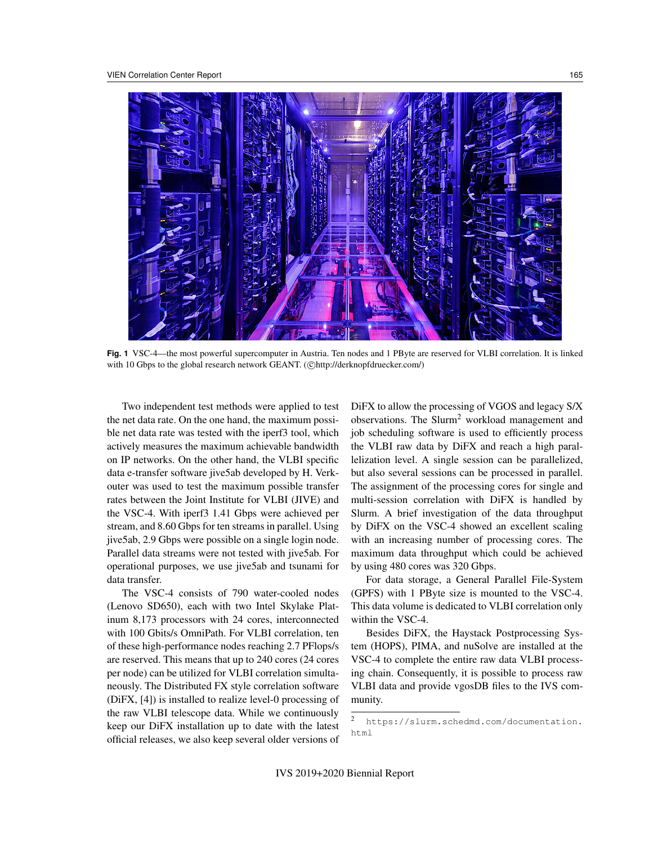

**Fig. 1** VSC-4—the most powerful supercomputer in Austria. Ten nodes and 1 PByte are reserved for VLBI correlation. It is linked with 10 Gbps to the global research network GEANT. (Chttp://derknopfdruecker.com/)

Two independent test methods were applied to test the net data rate. On the one hand, the maximum possible net data rate was tested with the iperf3 tool, which actively measures the maximum achievable bandwidth on IP networks. On the other hand, the VLBI specific data e-transfer software jive5ab developed by H. Verkouter was used to test the maximum possible transfer rates between the Joint Institute for VLBI (JIVE) and the VSC-4. With iperf3 1.41 Gbps were achieved per stream, and 8.60 Gbps for ten streams in parallel. Using jive5ab, 2.9 Gbps were possible on a single login node. Parallel data streams were not tested with jive5ab. For operational purposes, we use jive5ab and tsunami for data transfer.

The VSC-4 consists of 790 water-cooled nodes (Lenovo SD650), each with two Intel Skylake Platinum 8,173 processors with 24 cores, interconnected with 100 Gbits/s OmniPath. For VLBI correlation, ten of these high-performance nodes reaching 2.7 PFlops/s are reserved. This means that up to 240 cores (24 cores per node) can be utilized for VLBI correlation simultaneously. The Distributed FX style correlation software (DiFX, [4]) is installed to realize level-0 processing of the raw VLBI telescope data. While we continuously keep our DiFX installation up to date with the latest official releases, we also keep several older versions of DiFX to allow the processing of VGOS and legacy S/X observations. The Slurm<sup>2</sup> workload management and job scheduling software is used to efficiently process the VLBI raw data by DiFX and reach a high parallelization level. A single session can be parallelized, but also several sessions can be processed in parallel. The assignment of the processing cores for single and multi-session correlation with DiFX is handled by Slurm. A brief investigation of the data throughput by DiFX on the VSC-4 showed an excellent scaling with an increasing number of processing cores. The maximum data throughput which could be achieved by using 480 cores was 320 Gbps.

For data storage, a General Parallel File-System (GPFS) with 1 PByte size is mounted to the VSC-4. This data volume is dedicated to VLBI correlation only within the VSC-4.

Besides DiFX, the Haystack Postprocessing System (HOPS), PIMA, and nuSolve are installed at the VSC-4 to complete the entire raw data VLBI processing chain. Consequently, it is possible to process raw VLBI data and provide vgosDB files to the IVS community.

<sup>2</sup> https://slurm.schedmd.com/documentation. html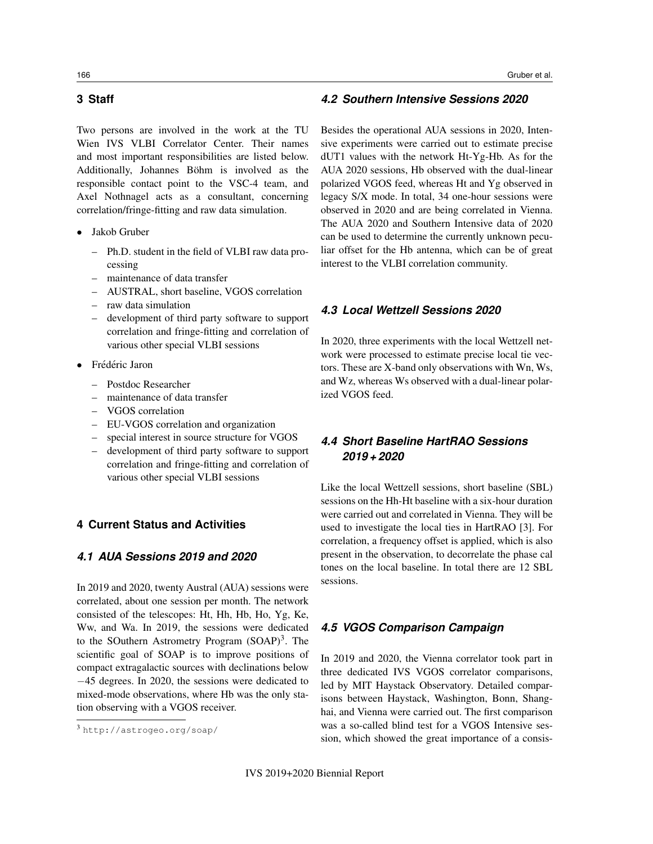Two persons are involved in the work at the TU Wien IVS VLBI Correlator Center. Their names and most important responsibilities are listed below. Additionally, Johannes Böhm is involved as the responsible contact point to the VSC-4 team, and Axel Nothnagel acts as a consultant, concerning correlation/fringe-fitting and raw data simulation.

- Jakob Gruber
	- Ph.D. student in the field of VLBI raw data processing
	- maintenance of data transfer
	- AUSTRAL, short baseline, VGOS correlation
	- raw data simulation
	- development of third party software to support correlation and fringe-fitting and correlation of various other special VLBI sessions
- Frédéric Jaron
	- Postdoc Researcher
	- maintenance of data transfer
	- VGOS correlation
	- EU-VGOS correlation and organization
	- special interest in source structure for VGOS
	- development of third party software to support correlation and fringe-fitting and correlation of various other special VLBI sessions

## **4 Current Status and Activities**

## *4.1 AUA Sessions 2019 and 2020*

In 2019 and 2020, twenty Austral (AUA) sessions were correlated, about one session per month. The network consisted of the telescopes: Ht, Hh, Hb, Ho, Yg, Ke, Ww, and Wa. In 2019, the sessions were dedicated to the SOuthern Astrometry Program  $(SOAP)^3$ . The scientific goal of SOAP is to improve positions of compact extragalactic sources with declinations below −45 degrees. In 2020, the sessions were dedicated to mixed-mode observations, where Hb was the only station observing with a VGOS receiver.

## *4.2 Southern Intensive Sessions 2020*

Besides the operational AUA sessions in 2020, Intensive experiments were carried out to estimate precise dUT1 values with the network Ht-Yg-Hb. As for the AUA 2020 sessions, Hb observed with the dual-linear polarized VGOS feed, whereas Ht and Yg observed in legacy S/X mode. In total, 34 one-hour sessions were observed in 2020 and are being correlated in Vienna. The AUA 2020 and Southern Intensive data of 2020 can be used to determine the currently unknown peculiar offset for the Hb antenna, which can be of great interest to the VLBI correlation community.

### *4.3 Local Wettzell Sessions 2020*

In 2020, three experiments with the local Wettzell network were processed to estimate precise local tie vectors. These are X-band only observations with Wn, Ws, and Wz, whereas Ws observed with a dual-linear polarized VGOS feed.

## *4.4 Short Baseline HartRAO Sessions 2019 + 2020*

Like the local Wettzell sessions, short baseline (SBL) sessions on the Hh-Ht baseline with a six-hour duration were carried out and correlated in Vienna. They will be used to investigate the local ties in HartRAO [3]. For correlation, a frequency offset is applied, which is also present in the observation, to decorrelate the phase cal tones on the local baseline. In total there are 12 SBL sessions.

## *4.5 VGOS Comparison Campaign*

In 2019 and 2020, the Vienna correlator took part in three dedicated IVS VGOS correlator comparisons, led by MIT Haystack Observatory. Detailed comparisons between Haystack, Washington, Bonn, Shanghai, and Vienna were carried out. The first comparison was a so-called blind test for a VGOS Intensive session, which showed the great importance of a consis-

<sup>3</sup> http://astrogeo.org/soap/